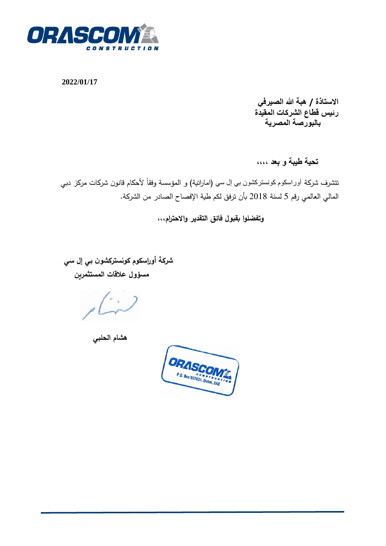

**2022/01/17**

**االستاذة / هبة هللا الصيرف ي رئيس قطاع الشركات المقيدة بالبورصة المصرية** 

 **تحية طيبة و بعد ،،،،**

تتشرف شركة أور اسكوم كونستركشون بي إل سي (اماراتية) و المؤسسة وفقاً لأحكام قانون شركات مركز دبي المالي العالمي رقم 5 لسنة 2018 بأن ترفق لكم طية اإلفصاح الصادر من الشركة.

 **وتفضلوا بقبول فائق التقدير واالحترام،،،** 

 **شركة أو ارسكوم كونستركشون بي إل سي مسؤول عالقات المستثمرين** 

 **هشام الحلبي** 

ORASCOMY